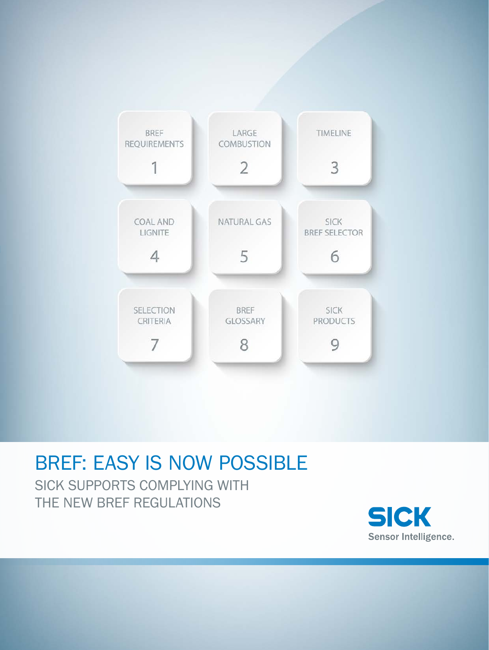

# BREF: EASY IS NOW POSSIBLE

SICK SUPPORTS COMPLYING WITH THE NEW BREF REGULATIONS

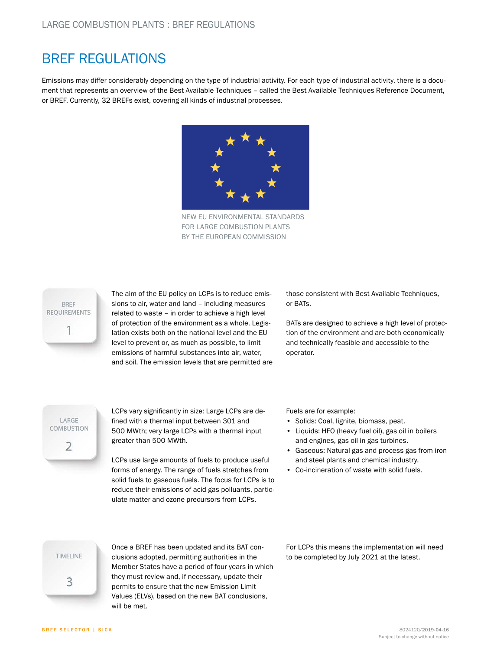### BREF REGULATIONS

Emissions may differ considerably depending on the type of industrial activity. For each type of industrial activity, there is a document that represents an overview of the Best Available Techniques – called the Best Available Techniques Reference Document, or BREF. Currently, 32 BREFs exist, covering all kinds of industrial processes.



NEW EU ENVIRONMENTAL STANDARDS FOR LARGE COMBUSTION PLANTS BY THE EUROPEAN COMMISSION



The aim of the EU policy on LCPs is to reduce emissions to air, water and land – including measures related to waste – in order to achieve a high level of protection of the environment as a whole. Legislation exists both on the national level and the EU level to prevent or, as much as possible, to limit emissions of harmful substances into air, water, and soil. The emission levels that are permitted are those consistent with Best Available Techniques, or BATs.

BATs are designed to achieve a high level of protection of the environment and are both economically and technically feasible and accessible to the operator.

LARGE COMBUSTION 2

LCPs vary significantly in size: Large LCPs are defined with a thermal input between 301 and 500 MWth; very large LCPs with a thermal input greater than 500 MWth.

LCPs use large amounts of fuels to produce useful forms of energy. The range of fuels stretches from solid fuels to gaseous fuels. The focus for LCPs is to reduce their emissions of acid gas polluants, particulate matter and ozone precursors from LCPs.

Fuels are for example:

- Solids: Coal, lignite, biomass, peat.
- Liquids: HFO (heavy fuel oil), gas oil in boilers and engines, gas oil in gas turbines.
- Gaseous: Natural gas and process gas from iron and steel plants and chemical industry.
- Co-incineration of waste with solid fuels.

**TIMELINE** 3

Once a BREF has been updated and its BAT conclusions adopted, permitting authorities in the Member States have a period of four years in which they must review and, if necessary, update their permits to ensure that the new Emission Limit Values (ELVs), based on the new BAT conclusions, will be met.

For LCPs this means the implementation will need to be completed by July 2021 at the latest.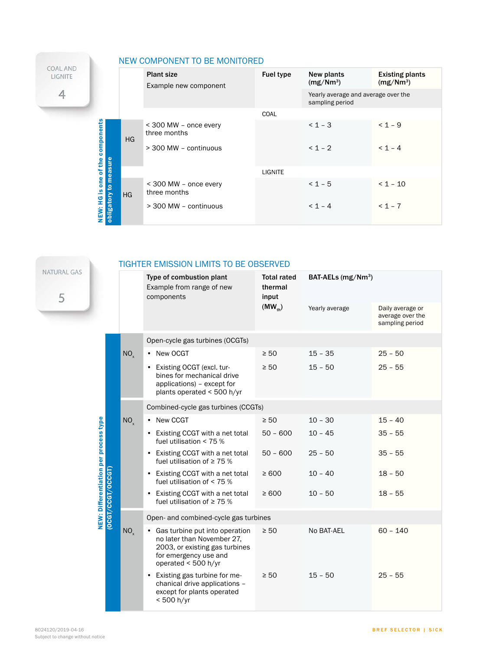|                               |                            | NEW COMPONENT TO BE MONITORED |                                            |           |                                                        |                                                 |  |
|-------------------------------|----------------------------|-------------------------------|--------------------------------------------|-----------|--------------------------------------------------------|-------------------------------------------------|--|
| <b>COAL AND</b><br>LIGNITE    |                            |                               | <b>Plant size</b><br>Example new component | Fuel type | New plants<br>(mg/Nm <sup>3</sup> )                    | <b>Existing plants</b><br>(mg/Nm <sup>3</sup> ) |  |
| 4                             |                            |                               |                                            |           | Yearly average and average over the<br>sampling period |                                                 |  |
|                               |                            |                               |                                            | COAL      |                                                        |                                                 |  |
| components                    | sure                       | HG                            | < 300 MW - once every<br>three months      |           | $< 1 - 3$                                              | $< 1 - 9$                                       |  |
|                               |                            |                               | $>$ 300 MW - continuous                    |           | $< 1 - 2$                                              | $< 1 - 4$                                       |  |
| of the                        | <b>ea</b>                  |                               |                                            | LIGNITE   |                                                        |                                                 |  |
| one<br><u>.ഗ</u><br>옆<br>NEW: | Ĕ<br>೭<br>HG<br>obligatory |                               | $<$ 300 MW – once every<br>three months    |           | $< 1 - 5$                                              | $< 1 - 10$                                      |  |
|                               |                            |                               | > 300 MW - continuous                      |           | $< 1 - 4$                                              | $< 1 - 7$                                       |  |

b. NATURAL GAS 5

### TIGHTER EMISSION LIMITS TO BE OBSERVED

|  |                                                            |                                                                                                                                                  | Type of combustion plant<br>Example from range of new<br>components                                                   | <b>Total rated</b><br>thermal<br>input | BAT-AELs $(mg/Nm^3)$ |                                                         |  |  |  |  |
|--|------------------------------------------------------------|--------------------------------------------------------------------------------------------------------------------------------------------------|-----------------------------------------------------------------------------------------------------------------------|----------------------------------------|----------------------|---------------------------------------------------------|--|--|--|--|
|  |                                                            |                                                                                                                                                  |                                                                                                                       | $(MW_{th})$                            | Yearly average       | Daily average or<br>average over the<br>sampling period |  |  |  |  |
|  |                                                            |                                                                                                                                                  | Open-cycle gas turbines (OCGTs)                                                                                       |                                        |                      |                                                         |  |  |  |  |
|  |                                                            | NO <sub>x</sub>                                                                                                                                  | • New OCGT                                                                                                            | $\geq 50$                              | $15 - 35$            | $25 - 50$                                               |  |  |  |  |
|  |                                                            |                                                                                                                                                  | • Existing OCGT (excl. tur-<br>bines for mechanical drive<br>applications) - except for<br>plants operated < 500 h/yr | $\geq 50$                              | $15 - 50$            | $25 - 55$                                               |  |  |  |  |
|  |                                                            |                                                                                                                                                  | Combined-cycle gas turbines (CCGTs)                                                                                   |                                        |                      |                                                         |  |  |  |  |
|  |                                                            | NO <sub>x</sub>                                                                                                                                  | • New CCGT                                                                                                            | $\geq 50$                              | $10 - 30$            | $15 - 40$                                               |  |  |  |  |
|  | NEW: Differentiation per process type<br>(OCGT/CCGT/OCCGT) |                                                                                                                                                  | • Existing CCGT with a net total<br>fuel utilisation $<$ 75 %                                                         | $50 - 600$                             | $10 - 45$            | $35 - 55$                                               |  |  |  |  |
|  |                                                            |                                                                                                                                                  | • Existing CCGT with a net total<br>fuel utilisation of $\geq$ 75 %                                                   | $50 - 600$                             | $25 - 50$            | $35 - 55$                                               |  |  |  |  |
|  |                                                            |                                                                                                                                                  | • Existing CCGT with a net total<br>fuel utilisation of $<$ 75 %                                                      | $\geq 600$                             | $10 - 40$            | $18 - 50$                                               |  |  |  |  |
|  |                                                            |                                                                                                                                                  | • Existing CCGT with a net total<br>fuel utilisation of $\geq$ 75 %                                                   | $\geq 600$                             | $10 - 50$            | $18 - 55$                                               |  |  |  |  |
|  |                                                            |                                                                                                                                                  | Open- and combined-cycle gas turbines                                                                                 |                                        |                      |                                                         |  |  |  |  |
|  | NO <sub>x</sub>                                            | • Gas turbine put into operation<br>no later than November 27,<br>2003, or existing gas turbines<br>for emergency use and<br>operated < 500 h/yr | $\geq 50$                                                                                                             | No BAT-AEL                             | $60 - 140$           |                                                         |  |  |  |  |
|  |                                                            |                                                                                                                                                  | • Existing gas turbine for me-<br>chanical drive applications -<br>except for plants operated<br>< 500 h/yr           | $\geq 50$                              | $15 - 50$            | $25 - 55$                                               |  |  |  |  |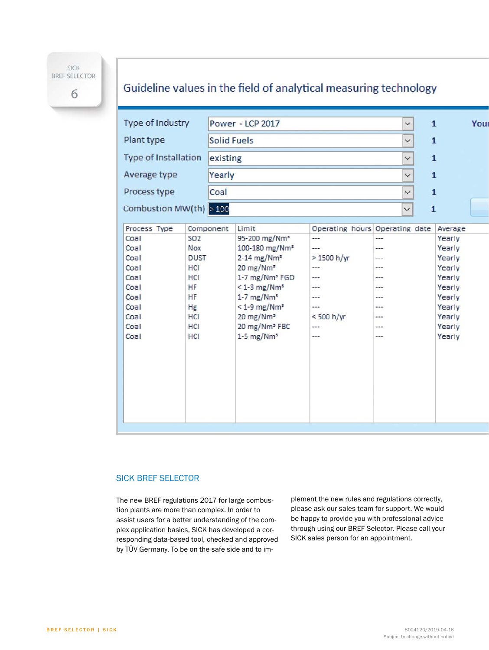SICK **BREF SELECTOR** 

6

### Guideline values in the field of analytical measuring technology

| Type of Industry         |             | Power - LCP 2017   |                              |                                |                | $\checkmark$ | $\mathbf{1}$      | You |
|--------------------------|-------------|--------------------|------------------------------|--------------------------------|----------------|--------------|-------------------|-----|
| Plant type               |             | <b>Solid Fuels</b> |                              |                                |                | $\checkmark$ | $\mathbf{1}$      |     |
| Type of Installation     |             | existing           |                              |                                | $\check{~}$    | $\mathbf{1}$ |                   |     |
| Average type             |             | Yearly             |                              |                                |                |              | $\mathbf{1}$      |     |
| Process type             |             | Coal               |                              | $\checkmark$                   | $\overline{1}$ |              |                   |     |
| Combustion MW(th) $>100$ |             |                    | $\check{~}$                  |                                |                |              | $\mathbf{1}$      |     |
| Process_Type             |             |                    | Limit                        | Operating_hours Operating_date |                |              |                   |     |
| Coal                     | <b>SO2</b>  | Component          | 95-200 mg/Nm <sup>s</sup>    | ---                            | ---            |              | Average<br>Yearly |     |
| Coal                     | Nox         |                    | 100-180 mg/Nm <sup>s</sup>   | ---                            | ---            |              | Yearly            |     |
| Coal                     | <b>DUST</b> |                    | $2-14$ mg/Nm <sup>s</sup>    | > 1500 h/yr                    | ---            |              | Yearly            |     |
| Coal                     | HCI         |                    | 20 mg/Nm <sup>s</sup>        | ---                            | ---            |              | Yearly            |     |
| Coal                     | HCI         |                    | 1-7 mg/Nm <sup>s</sup> FGD   | ---                            | ---            |              | Yearly            |     |
| Coal                     | HF          |                    | $<$ 1-3 mg/Nm <sup>s</sup>   | ---                            | ---            |              | Yearly            |     |
| Coal                     | HF          |                    | $1-7$ mg/Nm <sup>s</sup>     | ---                            | ---            |              | Yearly            |     |
| Coal                     | Hg          |                    | $< 1 - 9$ mg/Nm <sup>s</sup> | ---                            | ---            |              | Yearly            |     |
| Coal                     | HCI         |                    | 20 mg/Nm <sup>s</sup>        | <500 h/yr                      | ---            |              | Yearly            |     |
| Coal                     | HCI         |                    | 20 mg/Nm <sup>s</sup> FBC    |                                | ---            |              | Yearly            |     |
| Coal                     | HCI         |                    | $1-5$ mg/Nm <sup>s</sup>     | ---                            | ---            |              | Yearly            |     |
|                          |             |                    |                              |                                |                |              |                   |     |
|                          |             |                    |                              |                                |                |              |                   |     |
|                          |             |                    |                              |                                |                |              |                   |     |
|                          |             |                    |                              |                                |                |              |                   |     |
|                          |             |                    |                              |                                |                |              |                   |     |
|                          |             |                    |                              |                                |                |              |                   |     |
|                          |             |                    |                              |                                |                |              |                   |     |
|                          |             |                    |                              |                                |                |              |                   |     |
|                          |             |                    |                              |                                |                |              |                   |     |

#### SICK BREF SELECTOR

The new BREF regulations 2017 for large combustion plants are more than complex. In order to assist users for a better understanding of the complex application basics, SICK has developed a corresponding data-based tool, checked and approved by TÜV Germany. To be on the safe side and to implement the new rules and regulations correctly, please ask our sales team for support. We would be happy to provide you with professional advice through using our BREF Selector. Please call your SICK sales person for an appointment.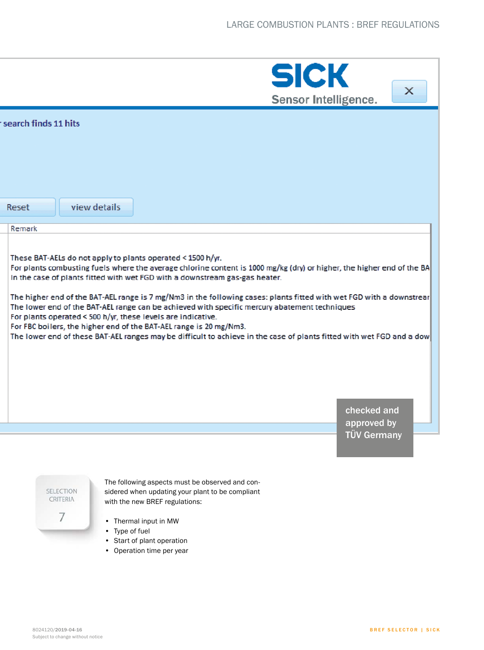|                      |                                                   | <b>SICK</b><br>Sensor Intelligence.                                                                                                                                                                                                                                                                                                                                                                                                                                                                                                                                                                                                                                                                                                                                         | X |
|----------------------|---------------------------------------------------|-----------------------------------------------------------------------------------------------------------------------------------------------------------------------------------------------------------------------------------------------------------------------------------------------------------------------------------------------------------------------------------------------------------------------------------------------------------------------------------------------------------------------------------------------------------------------------------------------------------------------------------------------------------------------------------------------------------------------------------------------------------------------------|---|
| search finds 11 hits |                                                   |                                                                                                                                                                                                                                                                                                                                                                                                                                                                                                                                                                                                                                                                                                                                                                             |   |
| Reset                | view details                                      |                                                                                                                                                                                                                                                                                                                                                                                                                                                                                                                                                                                                                                                                                                                                                                             |   |
| Remark               |                                                   |                                                                                                                                                                                                                                                                                                                                                                                                                                                                                                                                                                                                                                                                                                                                                                             |   |
|                      |                                                   | These BAT-AELs do not apply to plants operated < 1500 h/yr.<br>For plants combusting fuels where the average chlorine content is 1000 mg/kg (dry) or higher, the higher end of the BA<br>In the case of plants fitted with wet FGD with a downstream gas-gas heater.<br>The higher end of the BAT-AEL range is 7 mg/Nm3 in the following cases: plants fitted with wet FGD with a downstrear<br>The lower end of the BAT-AEL range can be achieved with specific mercury abatement techniques<br>For plants operated < 500 h/yr, these levels are indicative.<br>For FBC boilers, the higher end of the BAT-AEL range is 20 mg/Nm3.<br>The lower end of these BAT-AEL ranges may be difficult to achieve in the case of plants fitted with wet FGD and a dow<br>checked and |   |
|                      |                                                   | approved by                                                                                                                                                                                                                                                                                                                                                                                                                                                                                                                                                                                                                                                                                                                                                                 |   |
|                      | SELECTION<br>CRITERIA<br>7<br>٠<br>• Type of fuel | <b>TÜV Germany</b><br>The following aspects must be observed and con-<br>sidered when updating your plant to be compliant<br>with the new BREF regulations:<br>Thermal input in MW                                                                                                                                                                                                                                                                                                                                                                                                                                                                                                                                                                                          |   |

- Start of plant operation
- Operation time per year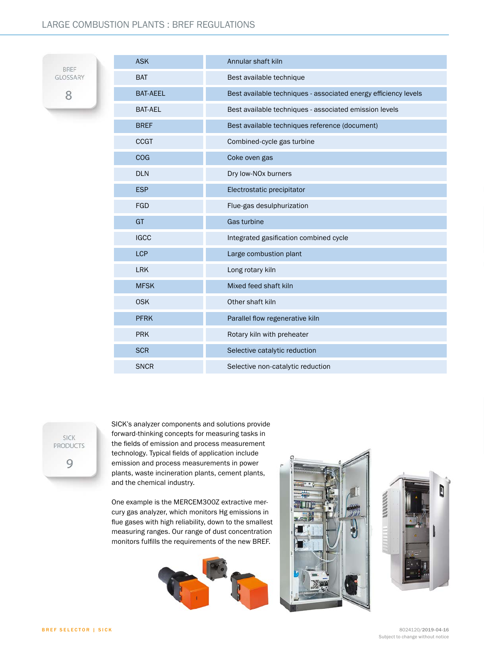#### LARGE COMBUSTION PLANTS : BREF REGULATIONS

**BREF** GLOSSARY 8

| <b>ASK</b>      | Annular shaft kiln                                              |
|-----------------|-----------------------------------------------------------------|
| <b>BAT</b>      | Best available technique                                        |
| <b>BAT-AEEL</b> | Best available techniques - associated energy efficiency levels |
| BAT-AEL         | Best available techniques - associated emission levels          |
| <b>BREF</b>     | Best available techniques reference (document)                  |
| <b>CCGT</b>     | Combined-cycle gas turbine                                      |
| COG             | Coke oven gas                                                   |
| <b>DLN</b>      | Dry low-NO <sub>x</sub> burners                                 |
| <b>ESP</b>      | Electrostatic precipitator                                      |
| <b>FGD</b>      | Flue-gas desulphurization                                       |
| <b>GT</b>       | Gas turbine                                                     |
| <b>IGCC</b>     | Integrated gasification combined cycle                          |
| <b>LCP</b>      | Large combustion plant                                          |
| <b>LRK</b>      | Long rotary kiln                                                |
| <b>MFSK</b>     | Mixed feed shaft kiln                                           |
| <b>OSK</b>      | Other shaft kiln                                                |
| <b>PFRK</b>     | Parallel flow regenerative kiln                                 |
| <b>PRK</b>      | Rotary kiln with preheater                                      |
| <b>SCR</b>      | Selective catalytic reduction                                   |
| <b>SNCR</b>     | Selective non-catalytic reduction                               |

SICK **PRODUCTS** 9

SICK's analyzer components and solutions provide forward-thinking concepts for measuring tasks in the fields of emission and process measurement technology. Typical fields of application include emission and process measurements in power plants, waste incineration plants, cement plants, and the chemical industry.

One example is the MERCEM300Z extractive mercury gas analyzer, which monitors Hg emissions in flue gases with high reliability, down to the smallest measuring ranges. Our range of dust concentration monitors fulfills the requirements of the new BREF.





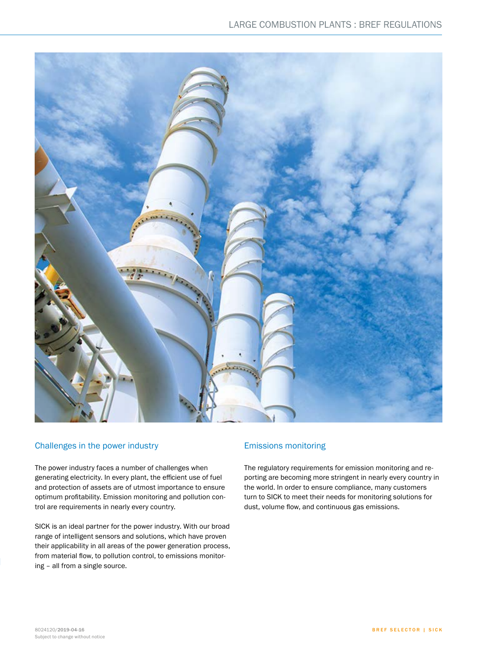

#### Challenges in the power industry

The power industry faces a number of challenges when generating electricity. In every plant, the efficient use of fuel and protection of assets are of utmost importance to ensure optimum profitability. Emission monitoring and pollution control are requirements in nearly every country.

SICK is an ideal partner for the power industry. With our broad range of intelligent sensors and solutions, which have proven their applicability in all areas of the power generation process, from material flow, to pollution control, to emissions monitoring – all from a single source.

#### Emissions monitoring

The regulatory requirements for emission monitoring and reporting are becoming more stringent in nearly every country in the world. In order to ensure compliance, many customers turn to SICK to meet their needs for monitoring solutions for dust, volume flow, and continuous gas emissions.